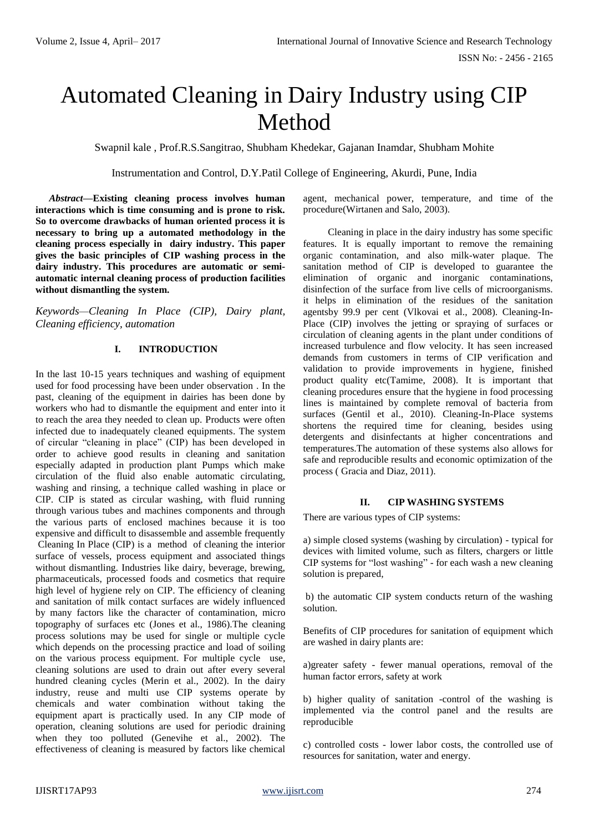# Automated Cleaning in Dairy Industry using CIP Method

Swapnil kale , Prof.R.S.Sangitrao, Shubham Khedekar, Gajanan Inamdar, Shubham Mohite

Instrumentation and Control, D.Y.Patil College of Engineering, Akurdi, Pune, India

*Abstract***—Existing cleaning process involves human interactions which is time consuming and is prone to risk. So to overcome drawbacks of human oriented process it is necessary to bring up a automated methodology in the cleaning process especially in dairy industry. This paper gives the basic principles of CIP washing process in the dairy industry. This procedures are automatic or semiautomatic internal cleaning process of production facilities without dismantling the system.**

*Keywords—Cleaning In Place (CIP), Dairy plant, Cleaning efficiency, automation*

#### **I. INTRODUCTION**

In the last 10-15 years techniques and washing of equipment used for food processing have been under observation . In the past, cleaning of the equipment in dairies has been done by workers who had to dismantle the equipment and enter into it to reach the area they needed to clean up. Products were often infected due to inadequately cleaned equipments. The system of circular "cleaning in place" (CIP) has been developed in order to achieve good results in cleaning and sanitation especially adapted in production plant Pumps which make circulation of the fluid also enable automatic circulating, washing and rinsing, a technique called washing in place or CIP. CIP is stated as circular washing, with fluid running through various tubes and machines components and through the various parts of enclosed machines because it is too expensive and difficult to disassemble and assemble frequently Cleaning In Place (CIP) is a method of cleaning the interior surface of vessels, process equipment and associated things without dismantling. Industries like dairy, beverage, brewing, pharmaceuticals, processed foods and cosmetics that require high level of hygiene rely on CIP. The efficiency of cleaning and sanitation of milk contact surfaces are widely influenced by many factors like the character of contamination, micro topography of surfaces etc (Jones et al., 1986). The cleaning process solutions may be used for single or multiple cycle which depends on the processing practice and load of soiling on the various process equipment. For multiple cycle use, cleaning solutions are used to drain out after every several hundred cleaning cycles (Merin et al., 2002). In the dairy industry, reuse and multi use CIP systems operate by chemicals and water combination without taking the equipment apart is practically used. In any CIP mode of operation, cleaning solutions are used for periodic draining when they too polluted (Genevihe et al., 2002). The effectiveness of cleaning is measured by factors like chemical

agent, mechanical power, temperature, and time of the procedure(Wirtanen and Salo, 2003).

 Cleaning in place in the dairy industry has some specific features. It is equally important to remove the remaining organic contamination, and also milk-water plaque. The sanitation method of CIP is developed to guarantee the elimination of organic and inorganic contaminations, disinfection of the surface from live cells of microorganisms. it helps in elimination of the residues of the sanitation agentsby 99.9 per cent (Vlkovai et al., 2008). Cleaning-In-Place (CIP) involves the jetting or spraying of surfaces or circulation of cleaning agents in the plant under conditions of increased turbulence and flow velocity. It has seen increased demands from customers in terms of CIP verification and validation to provide improvements in hygiene, finished product quality etc(Tamime, 2008). It is important that cleaning procedures ensure that the hygiene in food processing lines is maintained by complete removal of bacteria from surfaces (Gentil et al., 2010). Cleaning-In-Place systems shortens the required time for cleaning, besides using detergents and disinfectants at higher concentrations and temperatures.The automation of these systems also allows for safe and reproducible results and economic optimization of the process ( Gracia and Diaz, 2011).

#### **II. CIP WASHING SYSTEMS**

There are various types of CIP systems:

a) simple closed systems (washing by circulation) - typical for devices with limited volume, such as filters, chargers or little CIP systems for "lost washing" - for each wash a new cleaning solution is prepared,

b) the automatic CIP system conducts return of the washing solution.

Benefits of CIP procedures for sanitation of equipment which are washed in dairy plants are:

a)greater safety - fewer manual operations, removal of the human factor errors, safety at work

b) higher quality of sanitation -control of the washing is implemented via the control panel and the results are reproducible

c) controlled costs - lower labor costs, the controlled use of resources for sanitation, water and energy.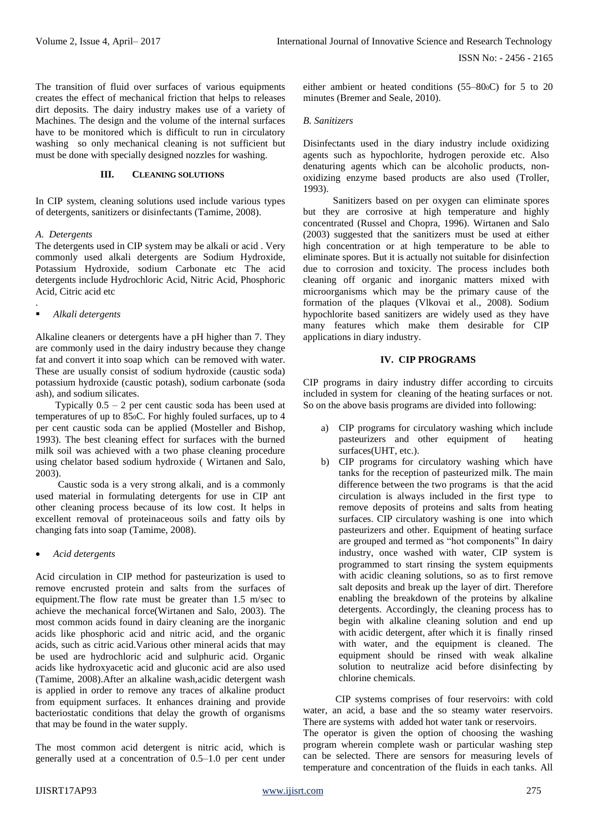The transition of fluid over surfaces of various equipments creates the effect of mechanical friction that helps to releases dirt deposits. The dairy industry makes use of a variety of Machines. The design and the volume of the internal surfaces have to be monitored which is difficult to run in circulatory washing so only mechanical cleaning is not sufficient but must be done with specially designed nozzles for washing.

#### **III. CLEANING SOLUTIONS**

In CIP system, cleaning solutions used include various types of detergents, sanitizers or disinfectants (Tamime, 2008).

#### *A. Detergents*

.

The detergents used in CIP system may be alkali or acid . Very commonly used alkali detergents are Sodium Hydroxide, Potassium Hydroxide, sodium Carbonate etc The acid detergents include Hydrochloric Acid, Nitric Acid, Phosphoric Acid, Citric acid etc

## ▪ *Alkali detergents*

Alkaline cleaners or detergents have a pH higher than 7. They are commonly used in the dairy industry because they change fat and convert it into soap which can be removed with water. These are usually consist of sodium hydroxide (caustic soda) potassium hydroxide (caustic potash), sodium carbonate (soda ash), and sodium silicates.

Typically  $0.5 - 2$  per cent caustic soda has been used at temperatures of up to 850C. For highly fouled surfaces, up to 4 per cent caustic soda can be applied (Mosteller and Bishop, 1993). The best cleaning effect for surfaces with the burned milk soil was achieved with a two phase cleaning procedure using chelator based sodium hydroxide ( Wirtanen and Salo, 2003).

 Caustic soda is a very strong alkali, and is a commonly used material in formulating detergents for use in CIP ant other cleaning process because of its low cost. It helps in excellent removal of proteinaceous soils and fatty oils by changing fats into soap (Tamime, 2008).

• *Acid detergents*

Acid circulation in CIP method for pasteurization is used to remove encrusted protein and salts from the surfaces of equipment.The flow rate must be greater than 1.5 m/sec to achieve the mechanical force(Wirtanen and Salo, 2003). The most common acids found in dairy cleaning are the inorganic acids like phosphoric acid and nitric acid, and the organic acids, such as citric acid.Various other mineral acids that may be used are hydrochloric acid and sulphuric acid. Organic acids like hydroxyacetic acid and gluconic acid are also used (Tamime, 2008).After an alkaline wash,acidic detergent wash is applied in order to remove any traces of alkaline product from equipment surfaces. It enhances draining and provide bacteriostatic conditions that delay the growth of organisms that may be found in the water supply.

The most common acid detergent is nitric acid, which is generally used at a concentration of 0.5–1.0 per cent under either ambient or heated conditions (55–800C) for 5 to 20 minutes (Bremer and Seale, 2010).

#### *B. Sanitizers*

Disinfectants used in the diary industry include oxidizing agents such as hypochlorite, hydrogen peroxide etc. Also denaturing agents which can be alcoholic products, nonoxidizing enzyme based products are also used (Troller, 1993).

 Sanitizers based on per oxygen can eliminate spores but they are corrosive at high temperature and highly concentrated (Russel and Chopra, 1996). Wirtanen and Salo (2003) suggested that the sanitizers must be used at either high concentration or at high temperature to be able to eliminate spores. But it is actually not suitable for disinfection due to corrosion and toxicity. The process includes both cleaning off organic and inorganic matters mixed with microorganisms which may be the primary cause of the formation of the plaques (Vlkovai et al., 2008). Sodium hypochlorite based sanitizers are widely used as they have many features which make them desirable for CIP applications in diary industry.

## **IV. CIP PROGRAMS**

CIP programs in dairy industry differ according to circuits included in system for cleaning of the heating surfaces or not. So on the above basis programs are divided into following:

- a) CIP programs for circulatory washing which include pasteurizers and other equipment of heating surfaces(UHT, etc.).
- b) CIP programs for circulatory washing which have tanks for the reception of pasteurized milk. The main difference between the two programs is that the acid circulation is always included in the first type to remove deposits of proteins and salts from heating surfaces. CIP circulatory washing is one into which pasteurizers and other. Equipment of heating surface are grouped and termed as "hot components" In dairy industry, once washed with water, CIP system is programmed to start rinsing the system equipments with acidic cleaning solutions, so as to first remove salt deposits and break up the layer of dirt. Therefore enabling the breakdown of the proteins by alkaline detergents. Accordingly, the cleaning process has to begin with alkaline cleaning solution and end up with acidic detergent, after which it is finally rinsed with water, and the equipment is cleaned. The equipment should be rinsed with weak alkaline solution to neutralize acid before disinfecting by chlorine chemicals.

 CIP systems comprises of four reservoirs: with cold water, an acid, a base and the so steamy water reservoirs. There are systems with added hot water tank or reservoirs. The operator is given the option of choosing the washing

program wherein complete wash or particular washing step can be selected. There are sensors for measuring levels of temperature and concentration of the fluids in each tanks. All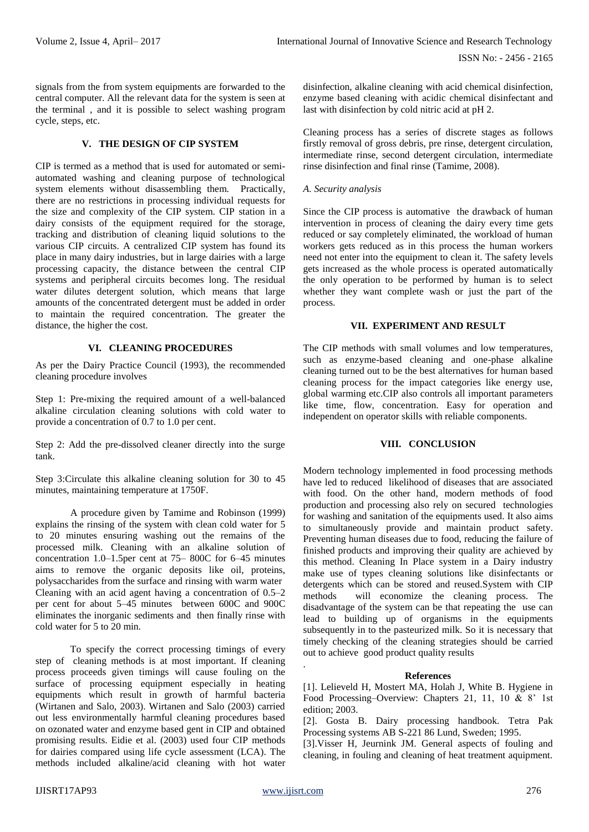signals from the from system equipments are forwarded to the central computer. All the relevant data for the system is seen at the terminal , and it is possible to select washing program cycle, steps, etc.

## **V. THE DESIGN OF CIP SYSTEM**

CIP is termed as a method that is used for automated or semiautomated washing and cleaning purpose of technological system elements without disassembling them. Practically, there are no restrictions in processing individual requests for the size and complexity of the CIP system. CIP station in a dairy consists of the equipment required for the storage, tracking and distribution of cleaning liquid solutions to the various CIP circuits. A centralized CIP system has found its place in many dairy industries, but in large dairies with a large processing capacity, the distance between the central CIP systems and peripheral circuits becomes long. The residual water dilutes detergent solution, which means that large amounts of the concentrated detergent must be added in order to maintain the required concentration. The greater the distance, the higher the cost.

# **VI. CLEANING PROCEDURES**

As per the Dairy Practice Council (1993), the recommended cleaning procedure involves

Step 1: Pre-mixing the required amount of a well-balanced alkaline circulation cleaning solutions with cold water to provide a concentration of 0.7 to 1.0 per cent.

Step 2: Add the pre-dissolved cleaner directly into the surge tank.

Step 3:Circulate this alkaline cleaning solution for 30 to 45 minutes, maintaining temperature at 1750F.

 A procedure given by Tamime and Robinson (1999) explains the rinsing of the system with clean cold water for 5 to 20 minutes ensuring washing out the remains of the processed milk. Cleaning with an alkaline solution of concentration 1.0–1.5per cent at 75– 800C for 6–45 minutes aims to remove the organic deposits like oil, proteins, polysaccharides from the surface and rinsing with warm water Cleaning with an acid agent having a concentration of 0.5–2 per cent for about 5–45 minutes between 600C and 900C eliminates the inorganic sediments and then finally rinse with cold water for 5 to 20 min.

 To specify the correct processing timings of every step of cleaning methods is at most important. If cleaning process proceeds given timings will cause fouling on the surface of processing equipment especially in heating equipments which result in growth of harmful bacteria (Wirtanen and Salo, 2003). Wirtanen and Salo (2003) carried out less environmentally harmful cleaning procedures based on ozonated water and enzyme based gent in CIP and obtained promising results. Eidie et al. (2003) used four CIP methods for dairies compared using life cycle assessment (LCA). The methods included alkaline/acid cleaning with hot water

disinfection, alkaline cleaning with acid chemical disinfection, enzyme based cleaning with acidic chemical disinfectant and last with disinfection by cold nitric acid at pH 2.

Cleaning process has a series of discrete stages as follows firstly removal of gross debris, pre rinse, detergent circulation, intermediate rinse, second detergent circulation, intermediate rinse disinfection and final rinse (Tamime, 2008).

## *A. Security analysis*

Since the CIP process is automative the drawback of human intervention in process of cleaning the dairy every time gets reduced or say completely eliminated, the workload of human workers gets reduced as in this process the human workers need not enter into the equipment to clean it. The safety levels gets increased as the whole process is operated automatically the only operation to be performed by human is to select whether they want complete wash or just the part of the process. 

# **VII. EXPERIMENT AND RESULT**

The CIP methods with small volumes and low temperatures, such as enzyme-based cleaning and one-phase alkaline cleaning turned out to be the best alternatives for human based cleaning process for the impact categories like energy use, global warming etc.CIP also controls all important parameters like time, flow, concentration. Easy for operation and independent on operator skills with reliable components.

## **VIII. CONCLUSION**

Modern technology implemented in food processing methods have led to reduced likelihood of diseases that are associated with food. On the other hand, modern methods of food production and processing also rely on secured technologies for washing and sanitation of the equipments used. It also aims to simultaneously provide and maintain product safety. Preventing human diseases due to food, reducing the failure of finished products and improving their quality are achieved by this method. Cleaning In Place system in a Dairy industry make use of types cleaning solutions like disinfectants or detergents which can be stored and reused.System with CIP methods will economize the cleaning process. The disadvantage of the system can be that repeating the use can lead to building up of organisms in the equipments subsequently in to the pasteurized milk. So it is necessary that timely checking of the cleaning strategies should be carried out to achieve good product quality results

## **References**

[1]. Lelieveld H, Mostert MA, Holah J, White B. Hygiene in Food Processing–Overview: Chapters 21, 11, 10 & 8' 1st edition; 2003.

[2]. Gosta B. Dairy processing handbook. Tetra Pak Processing systems AB S-221 86 Lund, Sweden; 1995.

[3].Visser H, Jeurnink JM. General aspects of fouling and cleaning, in fouling and cleaning of heat treatment aquipment.

.